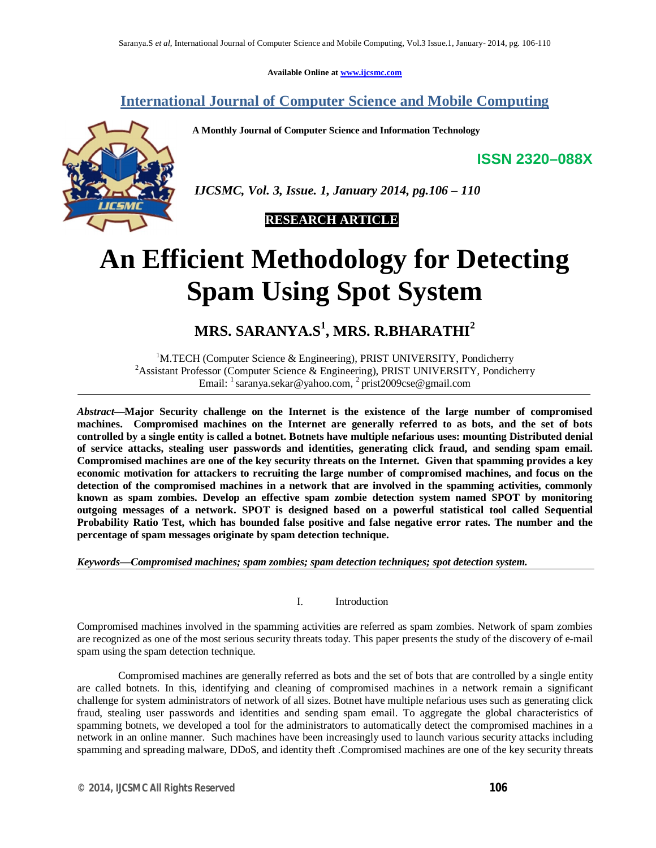**Available Online at www.ijcsmc.com**

### **International Journal of Computer Science and Mobile Computing**

 **A Monthly Journal of Computer Science and Information Technology**

**ISSN 2320–088X**



 *IJCSMC, Vol. 3, Issue. 1, January 2014, pg.106 – 110*

 **RESEARCH ARTICLE**

# **An Efficient Methodology for Detecting Spam Using Spot System**

## **MRS. SARANYA.S<sup>1</sup> , MRS. R.BHARATHI<sup>2</sup>**

<sup>1</sup>M.TECH (Computer Science & Engineering), PRIST UNIVERSITY, Pondicherry <sup>2</sup>Assistant Professor (Computer Science & Engineering), PRIST UNIVERSITY, Pondicherry Email: <sup>1</sup> saranya.sekar@yahoo.com, <sup>2</sup> prist2009cse@gmail.com

*Abstract*—**Major Security challenge on the Internet is the existence of the large number of compromised machines. Compromised machines on the Internet are generally referred to as bots, and the set of bots controlled by a single entity is called a botnet. Botnets have multiple nefarious uses: mounting Distributed denial of service attacks, stealing user passwords and identities, generating click fraud, and sending spam email. Compromised machines are one of the key security threats on the Internet. Given that spamming provides a key economic motivation for attackers to recruiting the large number of compromised machines, and focus on the detection of the compromised machines in a network that are involved in the spamming activities, commonly known as spam zombies. Develop an effective spam zombie detection system named SPOT by monitoring outgoing messages of a network. SPOT is designed based on a powerful statistical tool called Sequential Probability Ratio Test, which has bounded false positive and false negative error rates. The number and the percentage of spam messages originate by spam detection technique.** 

*Keywords—Compromised machines; spam zombies; spam detection techniques; spot detection system.*

#### I. Introduction

Compromised machines involved in the spamming activities are referred as spam zombies. Network of spam zombies are recognized as one of the most serious security threats today. This paper presents the study of the discovery of e-mail spam using the spam detection technique.

Compromised machines are generally referred as bots and the set of bots that are controlled by a single entity are called botnets. In this, identifying and cleaning of compromised machines in a network remain a significant challenge for system administrators of network of all sizes. Botnet have multiple nefarious uses such as generating click fraud, stealing user passwords and identities and sending spam email. To aggregate the global characteristics of spamming botnets, we developed a tool for the administrators to automatically detect the compromised machines in a network in an online manner. Such machines have been increasingly used to launch various security attacks including spamming and spreading malware, DDoS, and identity theft .Compromised machines are one of the key security threats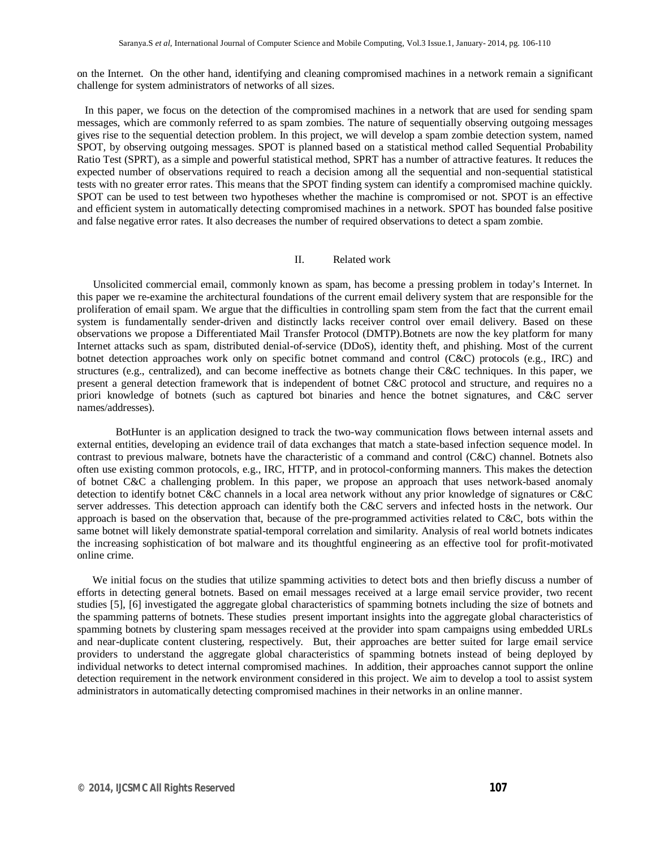on the Internet. On the other hand, identifying and cleaning compromised machines in a network remain a significant challenge for system administrators of networks of all sizes.

 In this paper, we focus on the detection of the compromised machines in a network that are used for sending spam messages, which are commonly referred to as spam zombies. The nature of sequentially observing outgoing messages gives rise to the sequential detection problem. In this project, we will develop a spam zombie detection system, named SPOT, by observing outgoing messages. SPOT is planned based on a statistical method called Sequential Probability Ratio Test (SPRT), as a simple and powerful statistical method, SPRT has a number of attractive features. It reduces the expected number of observations required to reach a decision among all the sequential and non-sequential statistical tests with no greater error rates. This means that the SPOT finding system can identify a compromised machine quickly. SPOT can be used to test between two hypotheses whether the machine is compromised or not. SPOT is an effective and efficient system in automatically detecting compromised machines in a network. SPOT has bounded false positive and false negative error rates. It also decreases the number of required observations to detect a spam zombie.

#### II. Related work

 Unsolicited commercial email, commonly known as spam, has become a pressing problem in today's Internet. In this paper we re-examine the architectural foundations of the current email delivery system that are responsible for the proliferation of email spam. We argue that the difficulties in controlling spam stem from the fact that the current email system is fundamentally sender-driven and distinctly lacks receiver control over email delivery. Based on these observations we propose a Differentiated Mail Transfer Protocol (DMTP).Botnets are now the key platform for many Internet attacks such as spam, distributed denial-of-service (DDoS), identity theft, and phishing. Most of the current botnet detection approaches work only on specific botnet command and control (C&C) protocols (e.g., IRC) and structures (e.g., centralized), and can become ineffective as botnets change their C&C techniques. In this paper, we present a general detection framework that is independent of botnet C&C protocol and structure, and requires no a priori knowledge of botnets (such as captured bot binaries and hence the botnet signatures, and C&C server names/addresses).

BotHunter is an application designed to track the two-way communication flows between internal assets and external entities, developing an evidence trail of data exchanges that match a state-based infection sequence model. In contrast to previous malware, botnets have the characteristic of a command and control (C&C) channel. Botnets also often use existing common protocols, e.g., IRC, HTTP, and in protocol-conforming manners. This makes the detection of botnet C&C a challenging problem. In this paper, we propose an approach that uses network-based anomaly detection to identify botnet C&C channels in a local area network without any prior knowledge of signatures or C&C server addresses. This detection approach can identify both the C&C servers and infected hosts in the network. Our approach is based on the observation that, because of the pre-programmed activities related to C&C, bots within the same botnet will likely demonstrate spatial-temporal correlation and similarity. Analysis of real world botnets indicates the increasing sophistication of bot malware and its thoughtful engineering as an effective tool for profit-motivated online crime.

We initial focus on the studies that utilize spamming activities to detect bots and then briefly discuss a number of efforts in detecting general botnets. Based on email messages received at a large email service provider, two recent studies [5], [6] investigated the aggregate global characteristics of spamming botnets including the size of botnets and the spamming patterns of botnets. These studies present important insights into the aggregate global characteristics of spamming botnets by clustering spam messages received at the provider into spam campaigns using embedded URLs and near-duplicate content clustering, respectively. But, their approaches are better suited for large email service providers to understand the aggregate global characteristics of spamming botnets instead of being deployed by individual networks to detect internal compromised machines. In addition, their approaches cannot support the online detection requirement in the network environment considered in this project. We aim to develop a tool to assist system administrators in automatically detecting compromised machines in their networks in an online manner.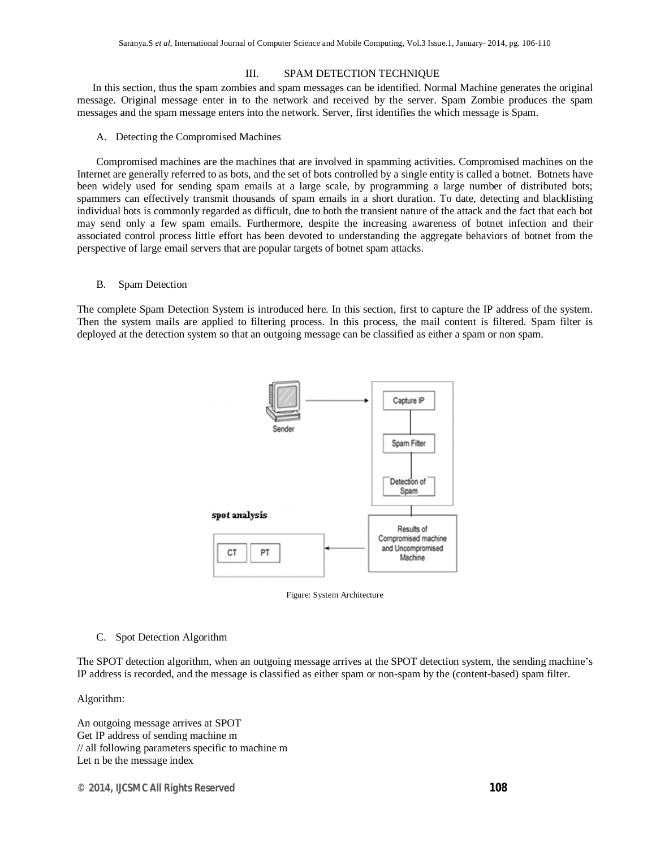#### III. SPAM DETECTION TECHNIQUE

In this section, thus the spam zombies and spam messages can be identified. Normal Machine generates the original message. Original message enter in to the network and received by the server. Spam Zombie produces the spam messages and the spam message enters into the network. Server, first identifies the which message is Spam.

#### A. Detecting the Compromised Machines

Compromised machines are the machines that are involved in spamming activities. Compromised machines on the Internet are generally referred to as bots, and the set of bots controlled by a single entity is called a botnet. Botnets have been widely used for sending spam emails at a large scale, by programming a large number of distributed bots; spammers can effectively transmit thousands of spam emails in a short duration. To date, detecting and blacklisting individual bots is commonly regarded as difficult, due to both the transient nature of the attack and the fact that each bot may send only a few spam emails. Furthermore, despite the increasing awareness of botnet infection and their associated control process little effort has been devoted to understanding the aggregate behaviors of botnet from the perspective of large email servers that are popular targets of botnet spam attacks.

#### B. Spam Detection

The complete Spam Detection System is introduced here. In this section, first to capture the IP address of the system. Then the system mails are applied to filtering process. In this process, the mail content is filtered. Spam filter is deployed at the detection system so that an outgoing message can be classified as either a spam or non spam.





C. Spot Detection Algorithm

The SPOT detection algorithm, when an outgoing message arrives at the SPOT detection system, the sending machine's IP address is recorded, and the message is classified as either spam or non-spam by the (content-based) spam filter.

Algorithm:

An outgoing message arrives at SPOT Get IP address of sending machine m // all following parameters specific to machine m Let n be the message index

*© 2014, IJCSMC All Rights Reserved 108*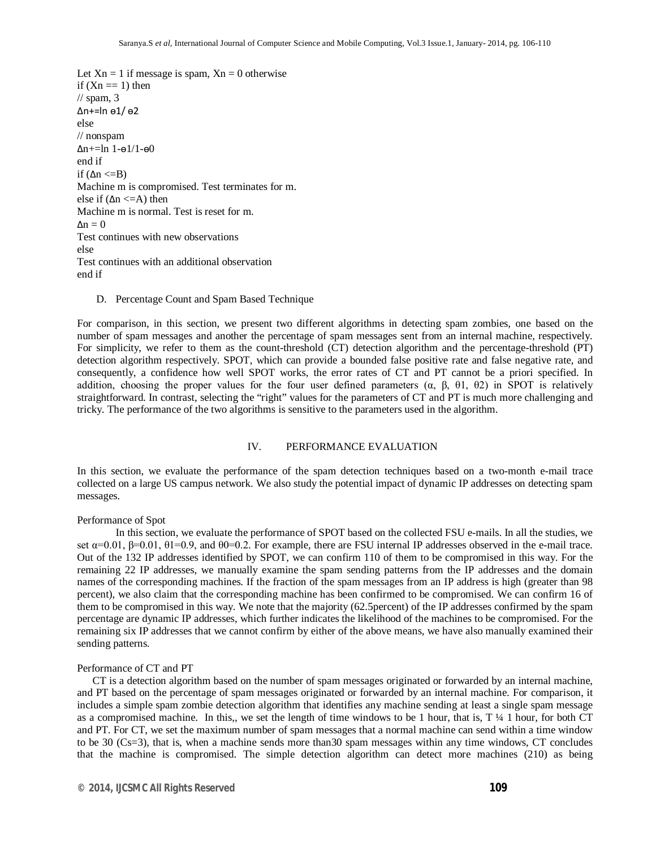```
Let X_n = 1 if message is spam, X_n = 0 otherwise
if (Xn == 1) then
// spam, 3
Δn+=ln ѳ1/ ѳ2
else
// nonspam
Δn+=ln 1-ѳ1/1-ѳ0
end if
if (\Delta n \leq B)Machine m is compromised. Test terminates for m.
else if (\Delta n \leq A) then
Machine m is normal. Test is reset for m.
\Delta n = 0Test continues with new observations
else
Test continues with an additional observation
end if
```
D. Percentage Count and Spam Based Technique

For comparison, in this section, we present two different algorithms in detecting spam zombies, one based on the number of spam messages and another the percentage of spam messages sent from an internal machine, respectively. For simplicity, we refer to them as the count-threshold (CT) detection algorithm and the percentage-threshold (PT) detection algorithm respectively. SPOT, which can provide a bounded false positive rate and false negative rate, and consequently, a confidence how well SPOT works, the error rates of CT and PT cannot be a priori specified. In addition, choosing the proper values for the four user defined parameters  $(\alpha, \beta, \theta)$ ,  $(\theta)$ ,  $(\theta)$  in SPOT is relatively straightforward. In contrast, selecting the "right" values for the parameters of CT and PT is much more challenging and tricky. The performance of the two algorithms is sensitive to the parameters used in the algorithm.

#### IV. PERFORMANCE EVALUATION

In this section, we evaluate the performance of the spam detection techniques based on a two-month e-mail trace collected on a large US campus network. We also study the potential impact of dynamic IP addresses on detecting spam messages.

#### Performance of Spot

In this section, we evaluate the performance of SPOT based on the collected FSU e-mails. In all the studies, we set  $\alpha$ =0.01,  $\beta$ =0.01,  $\theta$ 1=0.9, and  $\theta$ 0=0.2. For example, there are FSU internal IP addresses observed in the e-mail trace. Out of the 132 IP addresses identified by SPOT, we can confirm 110 of them to be compromised in this way. For the remaining 22 IP addresses, we manually examine the spam sending patterns from the IP addresses and the domain names of the corresponding machines. If the fraction of the spam messages from an IP address is high (greater than 98 percent), we also claim that the corresponding machine has been confirmed to be compromised. We can confirm 16 of them to be compromised in this way. We note that the majority (62.5percent) of the IP addresses confirmed by the spam percentage are dynamic IP addresses, which further indicates the likelihood of the machines to be compromised. For the remaining six IP addresses that we cannot confirm by either of the above means, we have also manually examined their sending patterns.

#### Performance of CT and PT

CT is a detection algorithm based on the number of spam messages originated or forwarded by an internal machine, and PT based on the percentage of spam messages originated or forwarded by an internal machine. For comparison, it includes a simple spam zombie detection algorithm that identifies any machine sending at least a single spam message as a compromised machine. In this,, we set the length of time windows to be 1 hour, that is, T ¼ 1 hour, for both CT and PT. For CT, we set the maximum number of spam messages that a normal machine can send within a time window to be 30 (Cs=3), that is, when a machine sends more than30 spam messages within any time windows, CT concludes that the machine is compromised. The simple detection algorithm can detect more machines (210) as being